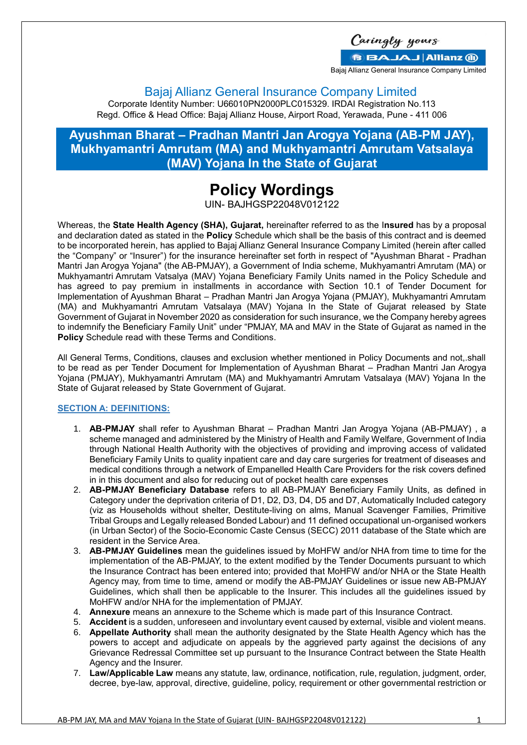Caringly yours **BBAJAJ Allianz (ii)** 

Bajaj Allianz General Insurance Company Limited

Bajaj Allianz General Insurance Company Limited

Corporate Identity Number: U66010PN2000PLC015329. IRDAI Registration No.113 Regd. Office & Head Office: Bajaj Allianz House, Airport Road, Yerawada, Pune - 411 006

# **Ayushman Bharat – Pradhan Mantri Jan Arogya Yojana (AB-PM JAY), Mukhyamantri Amrutam (MA) and Mukhyamantri Amrutam Vatsalaya (MAV) Yojana In the State of Gujarat**

# **Policy Wordings**

UIN- BAJHGSP22048V012122

Whereas, the **State Health Agency (SHA), Gujarat,** hereinafter referred to as the I**nsured** has by a proposal and declaration dated as stated in the **Policy** Schedule which shall be the basis of this contract and is deemed to be incorporated herein, has applied to Bajaj Allianz General Insurance Company Limited (herein after called the "Company" or "Insurer") for the insurance hereinafter set forth in respect of "Ayushman Bharat - Pradhan Mantri Jan Arogya Yojana" (the AB-PMJAY), a Government of India scheme, Mukhyamantri Amrutam (MA) or Mukhyamantri Amrutam Vatsalya (MAV) Yojana Beneficiary Family Units named in the Policy Schedule and has agreed to pay premium in installments in accordance with Section 10.1 of Tender Document for Implementation of Ayushman Bharat – Pradhan Mantri Jan Arogya Yojana (PMJAY), Mukhyamantri Amrutam (MA) and Mukhyamantri Amrutam Vatsalaya (MAV) Yojana In the State of Gujarat released by State Government of Gujarat in November 2020 as consideration for such insurance, we the Company hereby agrees to indemnify the Beneficiary Family Unit" under "PMJAY, MA and MAV in the State of Gujarat as named in the **Policy** Schedule read with these Terms and Conditions.

All General Terms, Conditions, clauses and exclusion whether mentioned in Policy Documents and not,.shall to be read as per Tender Document for Implementation of Ayushman Bharat – Pradhan Mantri Jan Arogya Yojana (PMJAY), Mukhyamantri Amrutam (MA) and Mukhyamantri Amrutam Vatsalaya (MAV) Yojana In the State of Gujarat released by State Government of Gujarat.

# **SECTION A: DEFINITIONS:**

- 1. **AB-PMJAY** shall refer to Ayushman Bharat Pradhan Mantri Jan Arogya Yojana (AB-PMJAY) , a scheme managed and administered by the Ministry of Health and Family Welfare, Government of India through National Health Authority with the objectives of providing and improving access of validated Beneficiary Family Units to quality inpatient care and day care surgeries for treatment of diseases and medical conditions through a network of Empanelled Health Care Providers for the risk covers defined in in this document and also for reducing out of pocket health care expenses
- 2. **AB-PMJAY Beneficiary Database** refers to all AB-PMJAY Beneficiary Family Units, as defined in Category under the deprivation criteria of D1, D2, D3, D4, D5 and D7, Automatically Included category (viz as Households without shelter, Destitute-living on alms, Manual Scavenger Families, Primitive Tribal Groups and Legally released Bonded Labour) and 11 defined occupational un-organised workers (in Urban Sector) of the Socio-Economic Caste Census (SECC) 2011 database of the State which are resident in the Service Area.
- 3. **AB-PMJAY Guidelines** mean the guidelines issued by MoHFW and/or NHA from time to time for the implementation of the AB-PMJAY, to the extent modified by the Tender Documents pursuant to which the Insurance Contract has been entered into; provided that MoHFW and/or NHA or the State Health Agency may, from time to time, amend or modify the AB-PMJAY Guidelines or issue new AB-PMJAY Guidelines, which shall then be applicable to the Insurer. This includes all the guidelines issued by MoHFW and/or NHA for the implementation of PMJAY.
- 4. **Annexure** means an annexure to the Scheme which is made part of this Insurance Contract.
- 5. **Accident** is a sudden, unforeseen and involuntary event caused by external, visible and violent means.
- 6. **Appellate Authority** shall mean the authority designated by the State Health Agency which has the powers to accept and adjudicate on appeals by the aggrieved party against the decisions of any Grievance Redressal Committee set up pursuant to the Insurance Contract between the State Health Agency and the Insurer.
- 7. **Law/Applicable Law** means any statute, law, ordinance, notification, rule, regulation, judgment, order, decree, bye-law, approval, directive, guideline, policy, requirement or other governmental restriction or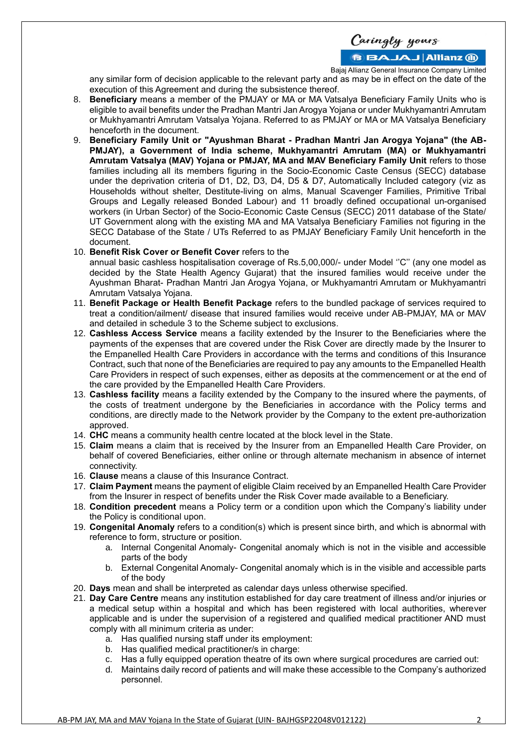**BBAJAJ Allianz M** 

Bajaj Allianz General Insurance Company Limited

any similar form of decision applicable to the relevant party and as may be in effect on the date of the execution of this Agreement and during the subsistence thereof.

- 8. **Beneficiary** means a member of the PMJAY or MA or MA Vatsalya Beneficiary Family Units who is eligible to avail benefits under the Pradhan Mantri Jan Arogya Yojana or under Mukhyamantri Amrutam or Mukhyamantri Amrutam Vatsalya Yojana. Referred to as PMJAY or MA or MA Vatsalya Beneficiary henceforth in the document.
- 9. **Beneficiary Family Unit or "Ayushman Bharat - Pradhan Mantri Jan Arogya Yojana" (the AB-PMJAY), a Government of India scheme, Mukhyamantri Amrutam (MA) or Mukhyamantri Amrutam Vatsalya (MAV) Yojana or PMJAY, MA and MAV Beneficiary Family Unit** refers to those families including all its members figuring in the Socio-Economic Caste Census (SECC) database under the deprivation criteria of D1, D2, D3, D4, D5 & D7, Automatically Included category (viz as Households without shelter, Destitute-living on alms, Manual Scavenger Families, Primitive Tribal Groups and Legally released Bonded Labour) and 11 broadly defined occupational un-organised workers (in Urban Sector) of the Socio-Economic Caste Census (SECC) 2011 database of the State/ UT Government along with the existing MA and MA Vatsalya Beneficiary Families not figuring in the SECC Database of the State / UTs Referred to as PMJAY Beneficiary Family Unit henceforth in the document.
- 10. **Benefit Risk Cover or Benefit Cover** refers to the annual basic cashless hospitalisation coverage of Rs.5,00,000/- under Model ''C'' (any one model as decided by the State Health Agency Gujarat) that the insured families would receive under the Ayushman Bharat- Pradhan Mantri Jan Arogya Yojana, or Mukhyamantri Amrutam or Mukhyamantri Amrutam Vatsalya Yojana.
- 11. **Benefit Package or Health Benefit Package** refers to the bundled package of services required to treat a condition/ailment/ disease that insured families would receive under AB-PMJAY, MA or MAV and detailed in schedule 3 to the Scheme subject to exclusions.
- 12. **Cashless Access Service** means a facility extended by the Insurer to the Beneficiaries where the payments of the expenses that are covered under the Risk Cover are directly made by the Insurer to the Empanelled Health Care Providers in accordance with the terms and conditions of this Insurance Contract, such that none of the Beneficiaries are required to pay any amounts to the Empanelled Health Care Providers in respect of such expenses, either as deposits at the commencement or at the end of the care provided by the Empanelled Health Care Providers.
- 13. **Cashless facility** means a facility extended by the Company to the insured where the payments, of the costs of treatment undergone by the Beneficiaries in accordance with the Policy terms and conditions, are directly made to the Network provider by the Company to the extent pre-authorization approved.
- 14. **CHC** means a community health centre located at the block level in the State.
- 15. **Claim** means a claim that is received by the Insurer from an Empanelled Health Care Provider, on behalf of covered Beneficiaries, either online or through alternate mechanism in absence of internet connectivity.
- 16. **Clause** means a clause of this Insurance Contract.
- 17. **Claim Payment** means the payment of eligible Claim received by an Empanelled Health Care Provider from the Insurer in respect of benefits under the Risk Cover made available to a Beneficiary.
- 18. **Condition precedent** means a Policy term or a condition upon which the Company's liability under the Policy is conditional upon.
- 19. **Congenital Anomaly** refers to a condition(s) which is present since birth, and which is abnormal with reference to form, structure or position.
	- a. Internal Congenital Anomaly- Congenital anomaly which is not in the visible and accessible parts of the body
	- b. External Congenital Anomaly- Congenital anomaly which is in the visible and accessible parts of the body
- 20. **Days** mean and shall be interpreted as calendar days unless otherwise specified.
- 21. **Day Care Centre** means any institution established for day care treatment of illness and/or injuries or a medical setup within a hospital and which has been registered with local authorities, wherever applicable and is under the supervision of a registered and qualified medical practitioner AND must comply with all minimum criteria as under:
	- a. Has qualified nursing staff under its employment:
	- b. Has qualified medical practitioner/s in charge:
	- c. Has a fully equipped operation theatre of its own where surgical procedures are carried out:
	- d. Maintains daily record of patients and will make these accessible to the Company's authorized personnel.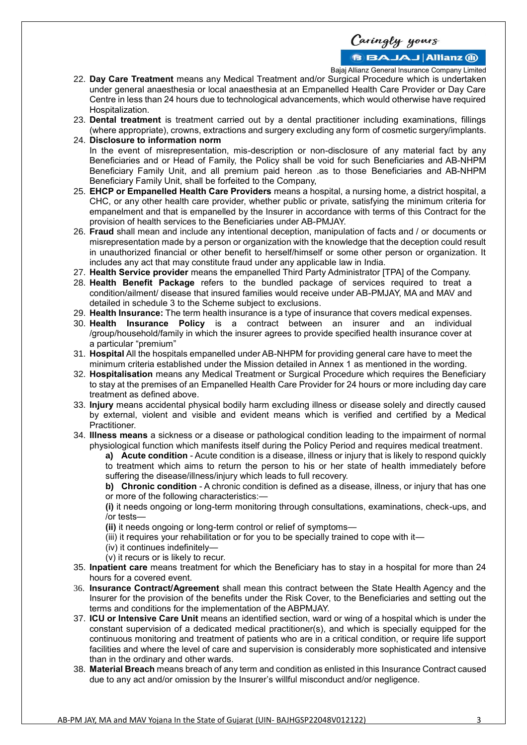**BBAJAJ Allianz M** 

Bajaj Allianz General Insurance Company Limited

- 22. **Day Care Treatment** means any Medical Treatment and/or Surgical Procedure which is undertaken under general anaesthesia or local anaesthesia at an Empanelled Health Care Provider or Day Care Centre in less than 24 hours due to technological advancements, which would otherwise have required Hospitalization.
- 23. **Dental treatment** is treatment carried out by a dental practitioner including examinations, fillings (where appropriate), crowns, extractions and surgery excluding any form of cosmetic surgery/implants.
- 24. **Disclosure to information norm** In the event of misrepresentation, mis-description or non-disclosure of any material fact by any Beneficiaries and or Head of Family, the Policy shall be void for such Beneficiaries and AB-NHPM Beneficiary Family Unit, and all premium paid hereon .as to those Beneficiaries and AB-NHPM Beneficiary Family Unit, shall be forfeited to the Company,
- 25. **EHCP or Empanelled Health Care Providers** means a hospital, a nursing home, a district hospital, a CHC, or any other health care provider, whether public or private, satisfying the minimum criteria for empanelment and that is empanelled by the Insurer in accordance with terms of this Contract for the provision of health services to the Beneficiaries under AB-PMJAY.
- 26. **Fraud** shall mean and include any intentional deception, manipulation of facts and / or documents or misrepresentation made by a person or organization with the knowledge that the deception could result in unauthorized financial or other benefit to herself/himself or some other person or organization. It includes any act that may constitute fraud under any applicable law in India.
- 27. **Health Service provider** means the empanelled Third Party Administrator [TPA] of the Company.
- 28. **Health Benefit Package** refers to the bundled package of services required to treat a condition/ailment/ disease that insured families would receive under AB-PMJAY, MA and MAV and detailed in schedule 3 to the Scheme subject to exclusions.
- 29. **Health Insurance:** The term health insurance is a type of insurance that covers medical expenses.
- 30. **Health Insurance Policy** is a contract between an insurer and an individual /group/household/family in which the insurer agrees to provide specified health insurance cover at a particular "premium"
- 31. **Hospital** All the hospitals empanelled under AB-NHPM for providing general care have to meet the minimum criteria established under the Mission detailed in Annex 1 as mentioned in the wording.
- 32. **Hospitalisation** means any Medical Treatment or Surgical Procedure which requires the Beneficiary to stay at the premises of an Empanelled Health Care Provider for 24 hours or more including day care treatment as defined above.
- 33. **Injury** means accidental physical bodily harm excluding illness or disease solely and directly caused by external, violent and visible and evident means which is verified and certified by a Medical Practitioner.
- 34. **Illness means** a sickness or a disease or pathological condition leading to the impairment of normal physiological function which manifests itself during the Policy Period and requires medical treatment.
	- **a) Acute condition** Acute condition is a disease, illness or injury that is likely to respond quickly to treatment which aims to return the person to his or her state of health immediately before suffering the disease/illness/injury which leads to full recovery.

**b) Chronic condition** - A chronic condition is defined as a disease, illness, or injury that has one or more of the following characteristics:—

**(i)** it needs ongoing or long-term monitoring through consultations, examinations, check-ups, and /or tests—

- **(ii)** it needs ongoing or long-term control or relief of symptoms—
- (iii) it requires your rehabilitation or for you to be specially trained to cope with it—
- (iv) it continues indefinitely—
- (v) it recurs or is likely to recur.
- 35. **Inpatient care** means treatment for which the Beneficiary has to stay in a hospital for more than 24 hours for a covered event.
- 36. **Insurance Contract/Agreement** shall mean this contract between the State Health Agency and the Insurer for the provision of the benefits under the Risk Cover, to the Beneficiaries and setting out the terms and conditions for the implementation of the ABPMJAY.
- 37. **ICU or Intensive Care Unit** means an identified section, ward or wing of a hospital which is under the constant supervision of a dedicated medical practitioner(s), and which is specially equipped for the continuous monitoring and treatment of patients who are in a critical condition, or require life support facilities and where the level of care and supervision is considerably more sophisticated and intensive than in the ordinary and other wards.
- 38. **Material Breach** means breach of any term and condition as enlisted in this Insurance Contract caused due to any act and/or omission by the Insurer's willful misconduct and/or negligence.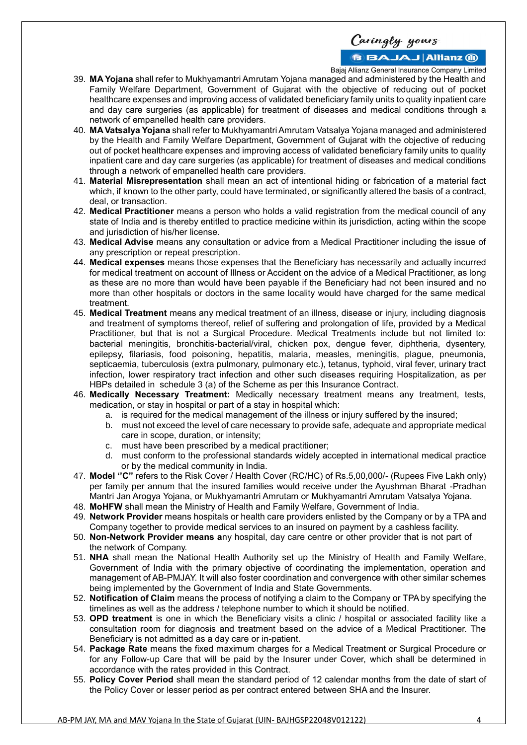# **BBAJAJ Allianz (ii)**

Bajaj Allianz General Insurance Company Limited

- 39. **MA Yojana** shall refer to Mukhyamantri Amrutam Yojana managed and administered by the Health and Family Welfare Department, Government of Gujarat with the objective of reducing out of pocket healthcare expenses and improving access of validated beneficiary family units to quality inpatient care and day care surgeries (as applicable) for treatment of diseases and medical conditions through a network of empanelled health care providers.
- 40. **MA Vatsalya Yojana** shall refer to Mukhyamantri Amrutam Vatsalya Yojana managed and administered by the Health and Family Welfare Department, Government of Gujarat with the objective of reducing out of pocket healthcare expenses and improving access of validated beneficiary family units to quality inpatient care and day care surgeries (as applicable) for treatment of diseases and medical conditions through a network of empanelled health care providers.
- 41. **Material Misrepresentation** shall mean an act of intentional hiding or fabrication of a material fact which, if known to the other party, could have terminated, or significantly altered the basis of a contract, deal, or transaction.
- 42. **Medical Practitioner** means a person who holds a valid registration from the medical council of any state of India and is thereby entitled to practice medicine within its jurisdiction, acting within the scope and jurisdiction of his/her license.
- 43. **Medical Advise** means any consultation or advice from a Medical Practitioner including the issue of any prescription or repeat prescription.
- 44. **Medical expenses** means those expenses that the Beneficiary has necessarily and actually incurred for medical treatment on account of Illness or Accident on the advice of a Medical Practitioner, as long as these are no more than would have been payable if the Beneficiary had not been insured and no more than other hospitals or doctors in the same locality would have charged for the same medical treatment.
- 45. **Medical Treatment** means any medical treatment of an illness, disease or injury, including diagnosis and treatment of symptoms thereof, relief of suffering and prolongation of life, provided by a Medical Practitioner, but that is not a Surgical Procedure. Medical Treatments include but not limited to: bacterial meningitis, bronchitis-bacterial/viral, chicken pox, dengue fever, diphtheria, dysentery, epilepsy, filariasis, food poisoning, hepatitis, malaria, measles, meningitis, plague, pneumonia, septicaemia, tuberculosis (extra pulmonary, pulmonary etc.), tetanus, typhoid, viral fever, urinary tract infection, lower respiratory tract infection and other such diseases requiring Hospitalization, as per HBPs detailed in schedule 3 (a) of the Scheme as per this Insurance Contract.
- 46. **Medically Necessary Treatment:** Medically necessary treatment means any treatment, tests, medication, or stay in hospital or part of a stay in hospital which:
	- a. is required for the medical management of the illness or injury suffered by the insured;
	- b. must not exceed the level of care necessary to provide safe, adequate and appropriate medical care in scope, duration, or intensity;
	- c. must have been prescribed by a medical practitioner;
	- d. must conform to the professional standards widely accepted in international medical practice or by the medical community in India.
- 47. **Model ''C''** refers to the Risk Cover / Health Cover (RC/HC) of Rs.5,00,000/- (Rupees Five Lakh only) per family per annum that the insured families would receive under the Ayushman Bharat -Pradhan Mantri Jan Arogya Yojana, or Mukhyamantri Amrutam or Mukhyamantri Amrutam Vatsalya Yojana.
- 48. **MoHFW** shall mean the Ministry of Health and Family Welfare, Government of India.
- 49. **Network Provider** means hospitals or health care providers enlisted by the Company or by a TPA and Company together to provide medical services to an insured on payment by a cashless facility.
- 50. **Non-Network Provider means a**ny hospital, day care centre or other provider that is not part of the network of Company.
- 51. **NHA** shall mean the National Health Authority set up the Ministry of Health and Family Welfare, Government of India with the primary objective of coordinating the implementation, operation and management of AB-PMJAY. It will also foster coordination and convergence with other similar schemes being implemented by the Government of India and State Governments.
- 52. **Notification of Claim** means the process of notifying a claim to the Company or TPA by specifying the timelines as well as the address / telephone number to which it should be notified.
- 53. **OPD treatment** is one in which the Beneficiary visits a clinic / hospital or associated facility like a consultation room for diagnosis and treatment based on the advice of a Medical Practitioner. The Beneficiary is not admitted as a day care or in-patient.
- 54. **Package Rate** means the fixed maximum charges for a Medical Treatment or Surgical Procedure or for any Follow-up Care that will be paid by the Insurer under Cover, which shall be determined in accordance with the rates provided in this Contract.
- 55. **Policy Cover Period** shall mean the standard period of 12 calendar months from the date of start of the Policy Cover or lesser period as per contract entered between SHA and the Insurer.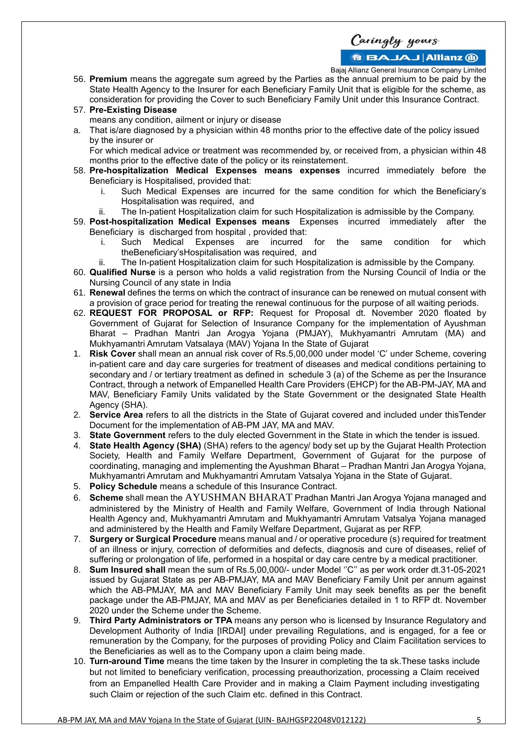**BBAJAJ Allianz (ii)** 

Bajaj Allianz General Insurance Company Limited

- 56. **Premium** means the aggregate sum agreed by the Parties as the annual premium to be paid by the State Health Agency to the Insurer for each Beneficiary Family Unit that is eligible for the scheme, as consideration for providing the Cover to such Beneficiary Family Unit under this Insurance Contract.
- 57. **Pre-Existing Disease** means any condition, ailment or injury or disease
- a. That is/are diagnosed by a physician within 48 months prior to the effective date of the policy issued by the insurer or

For which medical advice or treatment was recommended by, or received from, a physician within 48 months prior to the effective date of the policy or its reinstatement.

- 58. **Pre-hospitalization Medical Expenses means expenses** incurred immediately before the Beneficiary is Hospitalised, provided that:
	- i. Such Medical Expenses are incurred for the same condition for which the Beneficiary's Hospitalisation was required, and
	- ii. The In-patient Hospitalization claim for such Hospitalization is admissible by the Company.
- 59. **Post-hospitalization Medical Expenses means** Expenses incurred immediately after the Beneficiary is discharged from hospital , provided that:
	- i. Such Medical Expenses are incurred for the same condition for which theBeneficiary'sHospitalisation was required, and
	- ii. The In-patient Hospitalization claim for such Hospitalization is admissible by the Company.
- 60. **Qualified Nurse** is a person who holds a valid registration from the Nursing Council of India or the Nursing Council of any state in India
- 61. **Renewal** defines the terms on which the contract of insurance can be renewed on mutual consent with a provision of grace period for treating the renewal continuous for the purpose of all waiting periods.
- 62. **REQUEST FOR PROPOSAL or RFP:** Request for Proposal dt. November 2020 floated by Government of Gujarat for Selection of Insurance Company for the implementation of Ayushman Bharat – Pradhan Mantri Jan Arogya Yojana (PMJAY), Mukhyamantri Amrutam (MA) and Mukhyamantri Amrutam Vatsalaya (MAV) Yojana In the State of Gujarat
- 1. **Risk Cover** shall mean an annual risk cover of Rs.5,00,000 under model 'C' under Scheme, covering in-patient care and day care surgeries for treatment of diseases and medical conditions pertaining to secondary and / or tertiary treatment as defined in schedule 3 (a) of the Scheme as per the Insurance Contract, through a network of Empanelled Health Care Providers (EHCP) for the AB-PM-JAY, MA and MAV, Beneficiary Family Units validated by the State Government or the designated State Health Agency (SHA).
- 2. **Service Area** refers to all the districts in the State of Gujarat covered and included under thisTender Document for the implementation of AB-PM JAY, MA and MAV.
- 3. **State Government** refers to the duly elected Government in the State in which the tender is issued.
- 4. **State Health Agency (SHA)** (SHA) refers to the agency/ body set up by the Gujarat Health Protection Society, Health and Family Welfare Department, Government of Gujarat for the purpose of coordinating, managing and implementing the Ayushman Bharat – Pradhan Mantri Jan Arogya Yojana, Mukhyamantri Amrutam and Mukhyamantri Amrutam Vatsalya Yojana in the State of Gujarat.
- 5. **Policy Schedule** means a schedule of this Insurance Contract.
- 6. **Scheme** shall mean the AYUSHMAN BHARAT Pradhan Mantri Jan Arogya Yojana managed and administered by the Ministry of Health and Family Welfare, Government of India through National Health Agency and, Mukhyamantri Amrutam and Mukhyamantri Amrutam Vatsalya Yojana managed and administered by the Health and Family Welfare Department, Gujarat as per RFP.
- 7. **Surgery or Surgical Procedure** means manual and / or operative procedure (s) required for treatment of an illness or injury, correction of deformities and defects, diagnosis and cure of diseases, relief of suffering or prolongation of life, performed in a hospital or day care centre by a medical practitioner.
- 8. **Sum Insured shall** mean the sum of Rs.5,00,000/- under Model ''C'' as per work order dt.31-05-2021 issued by Gujarat State as per AB-PMJAY, MA and MAV Beneficiary Family Unit per annum against which the AB-PMJAY, MA and MAV Beneficiary Family Unit may seek benefits as per the benefit package under the AB-PMJAY, MA and MAV as per Beneficiaries detailed in 1 to RFP dt. November 2020 under the Scheme under the Scheme.
- 9. **Third Party Administrators or TPA** means any person who is licensed by Insurance Regulatory and Development Authority of India [IRDAI] under prevailing Regulations, and is engaged, for a fee or remuneration by the Company, for the purposes of providing Policy and Claim Facilitation services to the Beneficiaries as well as to the Company upon a claim being made.
- 10. **Turn-around Time** means the time taken by the Insurer in completing the ta sk.These tasks include but not limited to beneficiary verification, processing preauthorization, processing a Claim received from an Empanelled Health Care Provider and in making a Claim Payment including investigating such Claim or rejection of the such Claim etc. defined in this Contract.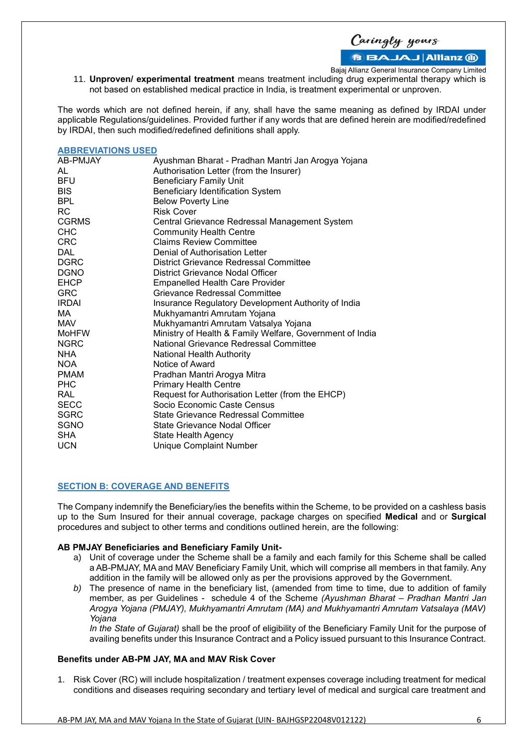Caringly yours

Bajaj Allianz General Insurance Company Limited

11. **Unproven/ experimental treatment** means treatment including drug experimental therapy which is not based on established medical practice in India, is treatment experimental or unproven.

The words which are not defined herein, if any, shall have the same meaning as defined by IRDAI under applicable Regulations/guidelines. Provided further if any words that are defined herein are modified/redefined by IRDAI, then such modified/redefined definitions shall apply.

# **ABBREVIATIONS USED**

| AB-PMJAY     | Ayushman Bharat - Pradhan Mantri Jan Arogya Yojana       |  |  |  |  |
|--------------|----------------------------------------------------------|--|--|--|--|
| AL           | Authorisation Letter (from the Insurer)                  |  |  |  |  |
| <b>BFU</b>   | <b>Beneficiary Family Unit</b>                           |  |  |  |  |
| <b>BIS</b>   | <b>Beneficiary Identification System</b>                 |  |  |  |  |
| <b>BPL</b>   | <b>Below Poverty Line</b>                                |  |  |  |  |
| RC.          | <b>Risk Cover</b>                                        |  |  |  |  |
| <b>CGRMS</b> | Central Grievance Redressal Management System            |  |  |  |  |
| <b>CHC</b>   | <b>Community Health Centre</b>                           |  |  |  |  |
| <b>CRC</b>   | <b>Claims Review Committee</b>                           |  |  |  |  |
| DAL          | Denial of Authorisation Letter                           |  |  |  |  |
| <b>DGRC</b>  | District Grievance Redressal Committee                   |  |  |  |  |
| <b>DGNO</b>  | District Grievance Nodal Officer                         |  |  |  |  |
| <b>EHCP</b>  | <b>Empanelled Health Care Provider</b>                   |  |  |  |  |
| <b>GRC</b>   | Grievance Redressal Committee                            |  |  |  |  |
| <b>IRDAI</b> | Insurance Regulatory Development Authority of India      |  |  |  |  |
| MA.          | Mukhyamantri Amrutam Yojana                              |  |  |  |  |
| MAV          | Mukhyamantri Amrutam Vatsalya Yojana                     |  |  |  |  |
| <b>MoHFW</b> | Ministry of Health & Family Welfare, Government of India |  |  |  |  |
| <b>NGRC</b>  | National Grievance Redressal Committee                   |  |  |  |  |
| <b>NHA</b>   | National Health Authority                                |  |  |  |  |
| <b>NOA</b>   | Notice of Award                                          |  |  |  |  |
| <b>PMAM</b>  | Pradhan Mantri Arogya Mitra                              |  |  |  |  |
| <b>PHC</b>   | <b>Primary Health Centre</b>                             |  |  |  |  |
| RAL          | Request for Authorisation Letter (from the EHCP)         |  |  |  |  |
| <b>SECC</b>  | Socio Economic Caste Census                              |  |  |  |  |
| <b>SGRC</b>  | <b>State Grievance Redressal Committee</b>               |  |  |  |  |
| <b>SGNO</b>  | State Grievance Nodal Officer                            |  |  |  |  |
| <b>SHA</b>   | State Health Agency                                      |  |  |  |  |
| <b>UCN</b>   | <b>Unique Complaint Number</b>                           |  |  |  |  |
|              |                                                          |  |  |  |  |

# **SECTION B: COVERAGE AND BENEFITS**

The Company indemnify the Beneficiary/ies the benefits within the Scheme, to be provided on a cashless basis up to the Sum Insured for their annual coverage, package charges on specified **Medical** and or **Surgical**  procedures and subject to other terms and conditions outlined herein, are the following:

#### **AB PMJAY Beneficiaries and Beneficiary Family Unit-**

- a) Unit of coverage under the Scheme shall be a family and each family for this Scheme shall be called a AB-PMJAY, MA and MAV Beneficiary Family Unit, which will comprise all members in that family. Any addition in the family will be allowed only as per the provisions approved by the Government.
- *b)* The presence of name in the beneficiary list, (amended from time to time, due to addition of family member, as per Guidelines - schedule 4 of the Scheme *(Ayushman Bharat – Pradhan Mantri Jan Arogya Yojana (PMJAY), Mukhyamantri Amrutam (MA) and Mukhyamantri Amrutam Vatsalaya (MAV) Yojana*

*In the State of Gujarat)* shall be the proof of eligibility of the Beneficiary Family Unit for the purpose of availing benefits under this Insurance Contract and a Policy issued pursuant to this Insurance Contract.

#### **Benefits under AB-PM JAY, MA and MAV Risk Cover**

1. Risk Cover (RC) will include hospitalization / treatment expenses coverage including treatment for medical conditions and diseases requiring secondary and tertiary level of medical and surgical care treatment and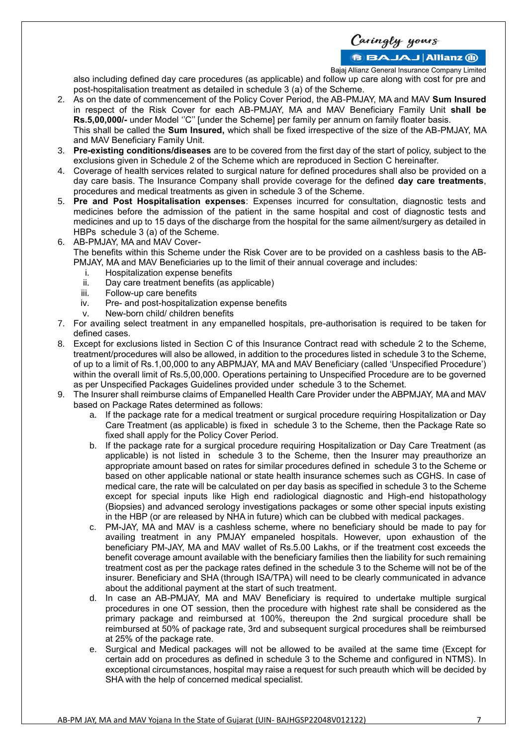Caringly yours

Bajaj Allianz General Insurance Company Limited

also including defined day care procedures (as applicable) and follow up care along with cost for pre and post-hospitalisation treatment as detailed in schedule 3 (a) of the Scheme.

- 2. As on the date of commencement of the Policy Cover Period, the AB-PMJAY, MA and MAV **Sum Insured** in respect of the Risk Cover for each AB-PMJAY, MA and MAV Beneficiary Family Unit **shall be Rs.5,00,000/-** under Model ''C'' [under the Scheme] per family per annum on family floater basis. This shall be called the **Sum Insured,** which shall be fixed irrespective of the size of the AB-PMJAY, MA and MAV Beneficiary Family Unit.
- 3. **Pre-existing conditions/diseases** are to be covered from the first day of the start of policy, subject to the exclusions given in Schedule 2 of the Scheme which are reproduced in Section C hereinafter.
- 4. Coverage of health services related to surgical nature for defined procedures shall also be provided on a day care basis. The Insurance Company shall provide coverage for the defined **day care treatments**, procedures and medical treatments as given in schedule 3 of the Scheme.
- 5. **Pre and Post Hospitalisation expenses**: Expenses incurred for consultation, diagnostic tests and medicines before the admission of the patient in the same hospital and cost of diagnostic tests and medicines and up to 15 days of the discharge from the hospital for the same ailment/surgery as detailed in HBPs schedule 3 (a) of the Scheme.
- 6. AB-PMJAY, MA and MAV Cover-

The benefits within this Scheme under the Risk Cover are to be provided on a cashless basis to the AB-PMJAY, MA and MAV Beneficiaries up to the limit of their annual coverage and includes:

- i. Hospitalization expense benefits
- ii. Day care treatment benefits (as applicable)
- iii. Follow-up care benefits
- iv. Pre- and post-hospitalization expense benefits
- v. New-born child/ children benefits
- 7. For availing select treatment in any empanelled hospitals, pre-authorisation is required to be taken for defined cases.
- 8. Except for exclusions listed in Section C of this Insurance Contract read with schedule 2 to the Scheme, treatment/procedures will also be allowed, in addition to the procedures listed in schedule 3 to the Scheme, of up to a limit of Rs.1,00,000 to any ABPMJAY, MA and MAV Beneficiary (called 'Unspecified Procedure') within the overall limit of Rs.5,00,000. Operations pertaining to Unspecified Procedure are to be governed as per Unspecified Packages Guidelines provided under schedule 3 to the Schemet.
- 9. The Insurer shall reimburse claims of Empanelled Health Care Provider under the ABPMJAY, MA and MAV based on Package Rates determined as follows:
	- a. If the package rate for a medical treatment or surgical procedure requiring Hospitalization or Day Care Treatment (as applicable) is fixed in schedule 3 to the Scheme, then the Package Rate so fixed shall apply for the Policy Cover Period.
	- b. If the package rate for a surgical procedure requiring Hospitalization or Day Care Treatment (as applicable) is not listed in schedule 3 to the Scheme, then the Insurer may preauthorize an appropriate amount based on rates for similar procedures defined in schedule 3 to the Scheme or based on other applicable national or state health insurance schemes such as CGHS. In case of medical care, the rate will be calculated on per day basis as specified in schedule 3 to the Scheme except for special inputs like High end radiological diagnostic and High-end histopathology (Biopsies) and advanced serology investigations packages or some other special inputs existing in the HBP (or are released by NHA in future) which can be clubbed with medical packages.
	- c. PM-JAY, MA and MAV is a cashless scheme, where no beneficiary should be made to pay for availing treatment in any PMJAY empaneled hospitals. However, upon exhaustion of the beneficiary PM-JAY, MA and MAV wallet of Rs.5.00 Lakhs, or if the treatment cost exceeds the benefit coverage amount available with the beneficiary families then the liability for such remaining treatment cost as per the package rates defined in the schedule 3 to the Scheme will not be of the insurer. Beneficiary and SHA (through ISA/TPA) will need to be clearly communicated in advance about the additional payment at the start of such treatment.
	- d. In case an AB-PMJAY, MA and MAV Beneficiary is required to undertake multiple surgical procedures in one OT session, then the procedure with highest rate shall be considered as the primary package and reimbursed at 100%, thereupon the 2nd surgical procedure shall be reimbursed at 50% of package rate, 3rd and subsequent surgical procedures shall be reimbursed at 25% of the package rate.
	- e. Surgical and Medical packages will not be allowed to be availed at the same time (Except for certain add on procedures as defined in schedule 3 to the Scheme and configured in NTMS). In exceptional circumstances, hospital may raise a request for such preauth which will be decided by SHA with the help of concerned medical specialist.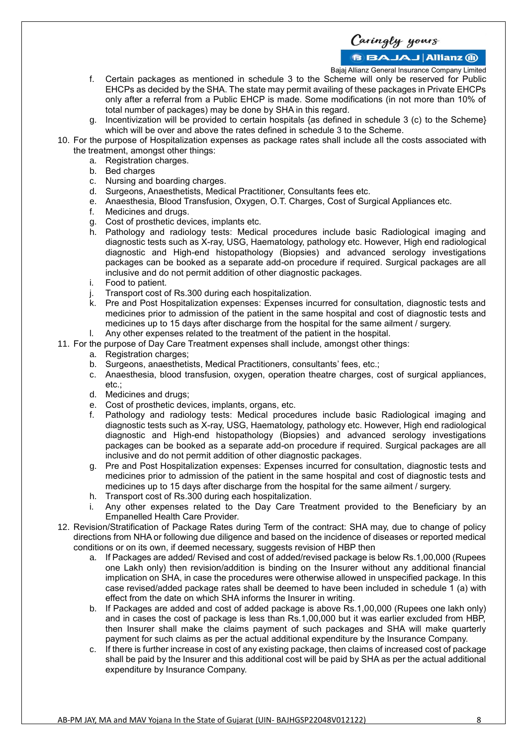Caringly yours

Bajaj Allianz General Insurance Company Limited

- f. Certain packages as mentioned in schedule 3 to the Scheme will only be reserved for Public EHCPs as decided by the SHA. The state may permit availing of these packages in Private EHCPs only after a referral from a Public EHCP is made. Some modifications (in not more than 10% of total number of packages) may be done by SHA in this regard.
- g. Incentivization will be provided to certain hospitals {as defined in schedule 3 (c) to the Scheme} which will be over and above the rates defined in schedule 3 to the Scheme.
- 10. For the purpose of Hospitalization expenses as package rates shall include all the costs associated with the treatment, amongst other things:
	- a. Registration charges.
	- b. Bed charges
	- c. Nursing and boarding charges.
	- d. Surgeons, Anaesthetists, Medical Practitioner, Consultants fees etc.
	- e. Anaesthesia, Blood Transfusion, Oxygen, O.T. Charges, Cost of Surgical Appliances etc.
	- f. Medicines and drugs.
	- g. Cost of prosthetic devices, implants etc.
	- h. Pathology and radiology tests: Medical procedures include basic Radiological imaging and diagnostic tests such as X-ray, USG, Haematology, pathology etc. However, High end radiological diagnostic and High-end histopathology (Biopsies) and advanced serology investigations packages can be booked as a separate add-on procedure if required. Surgical packages are all inclusive and do not permit addition of other diagnostic packages.
	- i. Food to patient.
	- j. Transport cost of Rs.300 during each hospitalization.
	- k. Pre and Post Hospitalization expenses: Expenses incurred for consultation, diagnostic tests and medicines prior to admission of the patient in the same hospital and cost of diagnostic tests and medicines up to 15 days after discharge from the hospital for the same ailment / surgery.
	- l. Any other expenses related to the treatment of the patient in the hospital.
- 11. For the purpose of Day Care Treatment expenses shall include, amongst other things:
	- a. Registration charges;
		- b. Surgeons, anaesthetists, Medical Practitioners, consultants' fees, etc.;
		- c. Anaesthesia, blood transfusion, oxygen, operation theatre charges, cost of surgical appliances, etc.;
		- d. Medicines and drugs;
		- e. Cost of prosthetic devices, implants, organs, etc.
		- f. Pathology and radiology tests: Medical procedures include basic Radiological imaging and diagnostic tests such as X-ray, USG, Haematology, pathology etc. However, High end radiological diagnostic and High-end histopathology (Biopsies) and advanced serology investigations packages can be booked as a separate add-on procedure if required. Surgical packages are all inclusive and do not permit addition of other diagnostic packages.
		- g. Pre and Post Hospitalization expenses: Expenses incurred for consultation, diagnostic tests and medicines prior to admission of the patient in the same hospital and cost of diagnostic tests and medicines up to 15 days after discharge from the hospital for the same ailment / surgery.
		- h. Transport cost of Rs.300 during each hospitalization.
	- Any other expenses related to the Day Care Treatment provided to the Beneficiary by an Empanelled Health Care Provider.
- 12. Revision/Stratification of Package Rates during Term of the contract: SHA may, due to change of policy directions from NHA or following due diligence and based on the incidence of diseases or reported medical conditions or on its own, if deemed necessary, suggests revision of HBP then
	- a. If Packages are added/ Revised and cost of added/revised package is below Rs.1,00,000 (Rupees one Lakh only) then revision/addition is binding on the Insurer without any additional financial implication on SHA, in case the procedures were otherwise allowed in unspecified package. In this case revised/added package rates shall be deemed to have been included in schedule 1 (a) with effect from the date on which SHA informs the Insurer in writing.
	- b. If Packages are added and cost of added package is above Rs.1,00,000 (Rupees one lakh only) and in cases the cost of package is less than Rs.1,00,000 but it was earlier excluded from HBP, then Insurer shall make the claims payment of such packages and SHA will make quarterly payment for such claims as per the actual additional expenditure by the Insurance Company.
	- c. If there is further increase in cost of any existing package, then claims of increased cost of package shall be paid by the Insurer and this additional cost will be paid by SHA as per the actual additional expenditure by Insurance Company.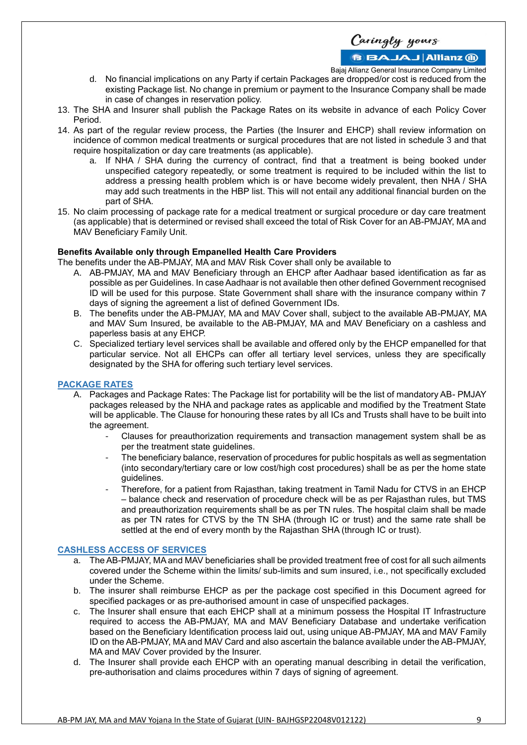Caringly yours

Bajaj Allianz General Insurance Company Limited

- d. No financial implications on any Party if certain Packages are dropped/or cost is reduced from the existing Package list. No change in premium or payment to the Insurance Company shall be made in case of changes in reservation policy.
- 13. The SHA and Insurer shall publish the Package Rates on its website in advance of each Policy Cover Period.
- 14. As part of the regular review process, the Parties (the Insurer and EHCP) shall review information on incidence of common medical treatments or surgical procedures that are not listed in schedule 3 and that require hospitalization or day care treatments (as applicable).
	- a. If NHA / SHA during the currency of contract, find that a treatment is being booked under unspecified category repeatedly, or some treatment is required to be included within the list to address a pressing health problem which is or have become widely prevalent, then NHA / SHA may add such treatments in the HBP list. This will not entail any additional financial burden on the part of SHA.
- 15. No claim processing of package rate for a medical treatment or surgical procedure or day care treatment (as applicable) that is determined or revised shall exceed the total of Risk Cover for an AB-PMJAY, MA and MAV Beneficiary Family Unit.

#### **Benefits Available only through Empanelled Health Care Providers**

The benefits under the AB-PMJAY, MA and MAV Risk Cover shall only be available to

- A. AB-PMJAY, MA and MAV Beneficiary through an EHCP after Aadhaar based identification as far as possible as per Guidelines. In case Aadhaar is not available then other defined Government recognised ID will be used for this purpose. State Government shall share with the insurance company within 7 days of signing the agreement a list of defined Government IDs.
- B. The benefits under the AB-PMJAY, MA and MAV Cover shall, subject to the available AB-PMJAY, MA and MAV Sum Insured, be available to the AB-PMJAY, MA and MAV Beneficiary on a cashless and paperless basis at any EHCP.
- C. Specialized tertiary level services shall be available and offered only by the EHCP empanelled for that particular service. Not all EHCPs can offer all tertiary level services, unless they are specifically designated by the SHA for offering such tertiary level services.

#### **PACKAGE RATES**

- A. Packages and Package Rates: The Package list for portability will be the list of mandatory AB- PMJAY packages released by the NHA and package rates as applicable and modified by the Treatment State will be applicable. The Clause for honouring these rates by all ICs and Trusts shall have to be built into the agreement.
	- Clauses for preauthorization requirements and transaction management system shall be as per the treatment state guidelines.
	- The beneficiary balance, reservation of procedures for public hospitals as well as segmentation (into secondary/tertiary care or low cost/high cost procedures) shall be as per the home state guidelines.
	- Therefore, for a patient from Rajasthan, taking treatment in Tamil Nadu for CTVS in an EHCP – balance check and reservation of procedure check will be as per Rajasthan rules, but TMS and preauthorization requirements shall be as per TN rules. The hospital claim shall be made as per TN rates for CTVS by the TN SHA (through IC or trust) and the same rate shall be settled at the end of every month by the Rajasthan SHA (through IC or trust).

#### **CASHLESS ACCESS OF SERVICES**

- a. The AB-PMJAY, MA and MAV beneficiaries shall be provided treatment free of cost for all such ailments covered under the Scheme within the limits/ sub-limits and sum insured, i.e., not specifically excluded under the Scheme.
- b. The insurer shall reimburse EHCP as per the package cost specified in this Document agreed for specified packages or as pre-authorised amount in case of unspecified packages.
- c. The Insurer shall ensure that each EHCP shall at a minimum possess the Hospital IT Infrastructure required to access the AB-PMJAY, MA and MAV Beneficiary Database and undertake verification based on the Beneficiary Identification process laid out, using unique AB-PMJAY, MA and MAV Family ID on the AB-PMJAY, MA and MAV Card and also ascertain the balance available under the AB-PMJAY, MA and MAV Cover provided by the Insurer.
- d. The Insurer shall provide each EHCP with an operating manual describing in detail the verification, pre-authorisation and claims procedures within 7 days of signing of agreement.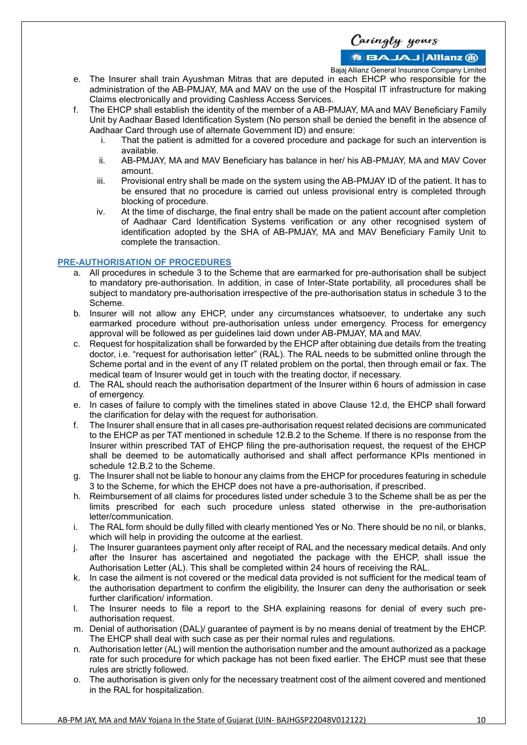**BBAJAJ Allianz M** 

Bajaj Allianz General Insurance Company Limited

- e. The Insurer shall train Ayushman Mitras that are deputed in each EHCP who responsible for the administration of the AB-PMJAY, MA and MAV on the use of the Hospital IT infrastructure for making Claims electronically and providing Cashless Access Services.
- f. The EHCP shall establish the identity of the member of a AB-PMJAY, MA and MAV Beneficiary Family Unit by Aadhaar Based Identification System (No person shall be denied the benefit in the absence of Aadhaar Card through use of alternate Government ID) and ensure:
	- i. That the patient is admitted for a covered procedure and package for such an intervention is available.
	- ii. AB-PMJAY, MA and MAV Beneficiary has balance in her/ his AB-PMJAY, MA and MAV Cover amount.
	- iii. Provisional entry shall be made on the system using the AB-PMJAY ID of the patient. It has to be ensured that no procedure is carried out unless provisional entry is completed through blocking of procedure.
	- iv. At the time of discharge, the final entry shall be made on the patient account after completion of Aadhaar Card Identification Systems verification or any other recognised system of identification adopted by the SHA of AB-PMJAY, MA and MAV Beneficiary Family Unit to complete the transaction.

#### **PRE-AUTHORISATION OF PROCEDURES**

- All procedures in schedule 3 to the Scheme that are earmarked for pre-authorisation shall be subject to mandatory pre-authorisation. In addition, in case of Inter-State portability, all procedures shall be subject to mandatory pre-authorisation irrespective of the pre-authorisation status in schedule 3 to the Scheme.
- b. Insurer will not allow any EHCP, under any circumstances whatsoever, to undertake any such earmarked procedure without pre-authorisation unless under emergency. Process for emergency approval will be followed as per guidelines laid down under AB-PMJAY, MA and MAV.
- c. Request for hospitalization shall be forwarded by the EHCP after obtaining due details from the treating doctor, i.e. "request for authorisation letter" (RAL). The RAL needs to be submitted online through the Scheme portal and in the event of any IT related problem on the portal, then through email or fax. The medical team of Insurer would get in touch with the treating doctor, if necessary.
- d. The RAL should reach the authorisation department of the Insurer within 6 hours of admission in case of emergency.
- e. In cases of failure to comply with the timelines stated in above Clause 12.d, the EHCP shall forward the clarification for delay with the request for authorisation.
- f. The Insurer shall ensure that in all cases pre-authorisation request related decisions are communicated to the EHCP as per TAT mentioned in schedule 12.B.2 to the Scheme. If there is no response from the Insurer within prescribed TAT of EHCP filing the pre-authorisation request, the request of the EHCP shall be deemed to be automatically authorised and shall affect performance KPIs mentioned in schedule 12.B.2 to the Scheme.
- g. The Insurer shall not be liable to honour any claims from the EHCP for procedures featuring in schedule 3 to the Scheme, for which the EHCP does not have a pre-authorisation, if prescribed.
- h. Reimbursement of all claims for procedures listed under schedule 3 to the Scheme shall be as per the limits prescribed for each such procedure unless stated otherwise in the pre-authorisation letter/communication.
- i. The RAL form should be dully filled with clearly mentioned Yes or No. There should be no nil, or blanks, which will help in providing the outcome at the earliest.
- j. The Insurer guarantees payment only after receipt of RAL and the necessary medical details. And only after the Insurer has ascertained and negotiated the package with the EHCP, shall issue the Authorisation Letter (AL). This shall be completed within 24 hours of receiving the RAL.
- k. In case the ailment is not covered or the medical data provided is not sufficient for the medical team of the authorisation department to confirm the eligibility, the Insurer can deny the authorisation or seek further clarification/ information.
- l. The Insurer needs to file a report to the SHA explaining reasons for denial of every such preauthorisation request.
- m. Denial of authorisation (DAL)/ guarantee of payment is by no means denial of treatment by the EHCP. The EHCP shall deal with such case as per their normal rules and regulations.
- n. Authorisation letter (AL) will mention the authorisation number and the amount authorized as a package rate for such procedure for which package has not been fixed earlier. The EHCP must see that these rules are strictly followed.
- o. The authorisation is given only for the necessary treatment cost of the ailment covered and mentioned in the RAL for hospitalization.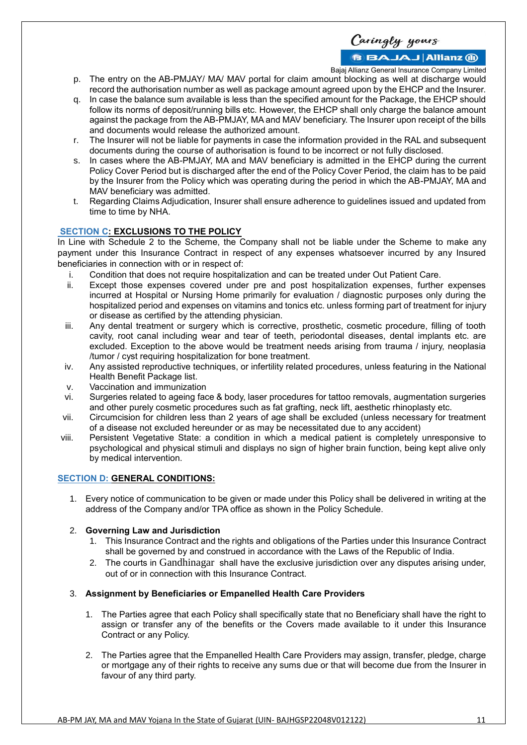# **BBAJAJ Allianz M**

Bajaj Allianz General Insurance Company Limited

- p. The entry on the AB-PMJAY/ MA/ MAV portal for claim amount blocking as well at discharge would record the authorisation number as well as package amount agreed upon by the EHCP and the Insurer.
- q. In case the balance sum available is less than the specified amount for the Package, the EHCP should follow its norms of deposit/running bills etc. However, the EHCP shall only charge the balance amount against the package from the AB-PMJAY, MA and MAV beneficiary. The Insurer upon receipt of the bills and documents would release the authorized amount.
- r. The Insurer will not be liable for payments in case the information provided in the RAL and subsequent documents during the course of authorisation is found to be incorrect or not fully disclosed.
- s. In cases where the AB-PMJAY, MA and MAV beneficiary is admitted in the EHCP during the current Policy Cover Period but is discharged after the end of the Policy Cover Period, the claim has to be paid by the Insurer from the Policy which was operating during the period in which the AB-PMJAY, MA and MAV beneficiary was admitted.
- t. Regarding Claims Adjudication, Insurer shall ensure adherence to guidelines issued and updated from time to time by NHA.

# **SECTION C: EXCLUSIONS TO THE POLICY**

In Line with Schedule 2 to the Scheme, the Company shall not be liable under the Scheme to make any payment under this Insurance Contract in respect of any expenses whatsoever incurred by any Insured beneficiaries in connection with or in respect of:

- i. Condition that does not require hospitalization and can be treated under Out Patient Care.
- ii. Except those expenses covered under pre and post hospitalization expenses, further expenses incurred at Hospital or Nursing Home primarily for evaluation / diagnostic purposes only during the hospitalized period and expenses on vitamins and tonics etc. unless forming part of treatment for injury or disease as certified by the attending physician.
- iii. Any dental treatment or surgery which is corrective, prosthetic, cosmetic procedure, filling of tooth cavity, root canal including wear and tear of teeth, periodontal diseases, dental implants etc. are excluded. Exception to the above would be treatment needs arising from trauma / injury, neoplasia /tumor / cyst requiring hospitalization for bone treatment.
- iv. Any assisted reproductive techniques, or infertility related procedures, unless featuring in the National Health Benefit Package list.
- v. Vaccination and immunization
- vi. Surgeries related to ageing face & body, laser procedures for tattoo removals, augmentation surgeries and other purely cosmetic procedures such as fat grafting, neck lift, aesthetic rhinoplasty etc.
- vii. Circumcision for children less than 2 years of age shall be excluded (unless necessary for treatment of a disease not excluded hereunder or as may be necessitated due to any accident)
- viii. Persistent Vegetative State: a condition in which a medical patient is completely unresponsive to psychological and physical stimuli and displays no sign of higher brain function, being kept alive only by medical intervention.

# **SECTION D: GENERAL CONDITIONS:**

1. Every notice of communication to be given or made under this Policy shall be delivered in writing at the address of the Company and/or TPA office as shown in the Policy Schedule.

# 2. **Governing Law and Jurisdiction**

- 1. This Insurance Contract and the rights and obligations of the Parties under this Insurance Contract shall be governed by and construed in accordance with the Laws of the Republic of India.
- 2. The courts in Gandhinagar shall have the exclusive jurisdiction over any disputes arising under, out of or in connection with this Insurance Contract.

#### 3. **Assignment by Beneficiaries or Empanelled Health Care Providers**

- 1. The Parties agree that each Policy shall specifically state that no Beneficiary shall have the right to assign or transfer any of the benefits or the Covers made available to it under this Insurance Contract or any Policy.
- 2. The Parties agree that the Empanelled Health Care Providers may assign, transfer, pledge, charge or mortgage any of their rights to receive any sums due or that will become due from the Insurer in favour of any third party.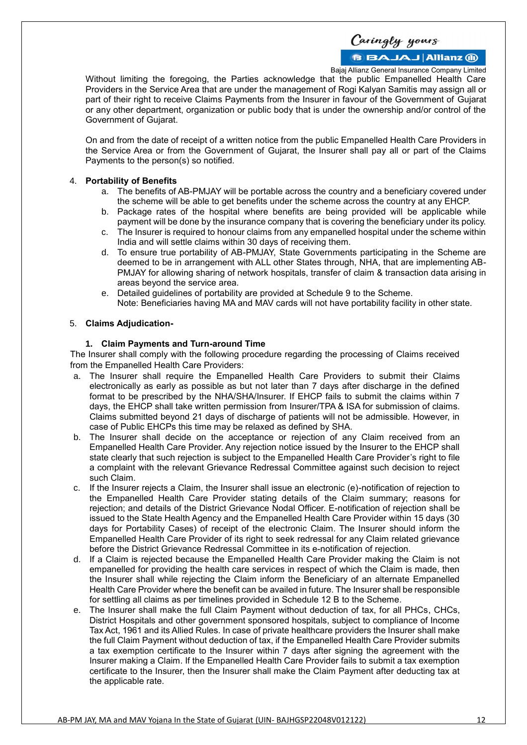**BBAJAJ Allianz M** 

Bajaj Allianz General Insurance Company Limited

Without limiting the foregoing, the Parties acknowledge that the public Empanelled Health Care Providers in the Service Area that are under the management of Rogi Kalyan Samitis may assign all or part of their right to receive Claims Payments from the Insurer in favour of the Government of Gujarat or any other department, organization or public body that is under the ownership and/or control of the Government of Gujarat.

On and from the date of receipt of a written notice from the public Empanelled Health Care Providers in the Service Area or from the Government of Gujarat, the Insurer shall pay all or part of the Claims Payments to the person(s) so notified.

#### 4. **Portability of Benefits**

- a. The benefits of AB-PMJAY will be portable across the country and a beneficiary covered under the scheme will be able to get benefits under the scheme across the country at any EHCP.
- b. Package rates of the hospital where benefits are being provided will be applicable while payment will be done by the insurance company that is covering the beneficiary under its policy.
- c. The Insurer is required to honour claims from any empanelled hospital under the scheme within India and will settle claims within 30 days of receiving them.
- d. To ensure true portability of AB-PMJAY, State Governments participating in the Scheme are deemed to be in arrangement with ALL other States through, NHA, that are implementing AB-PMJAY for allowing sharing of network hospitals, transfer of claim & transaction data arising in areas beyond the service area.
- e. Detailed guidelines of portability are provided at Schedule 9 to the Scheme.
- Note: Beneficiaries having MA and MAV cards will not have portability facility in other state.

# 5. **Claims Adjudication-**

#### **1. Claim Payments and Turn-around Time**

The Insurer shall comply with the following procedure regarding the processing of Claims received from the Empanelled Health Care Providers:

- a. The Insurer shall require the Empanelled Health Care Providers to submit their Claims electronically as early as possible as but not later than 7 days after discharge in the defined format to be prescribed by the NHA/SHA/Insurer. If EHCP fails to submit the claims within 7 days, the EHCP shall take written permission from Insurer/TPA & ISA for submission of claims. Claims submitted beyond 21 days of discharge of patients will not be admissible. However, in case of Public EHCPs this time may be relaxed as defined by SHA.
- b. The Insurer shall decide on the acceptance or rejection of any Claim received from an Empanelled Health Care Provider. Any rejection notice issued by the Insurer to the EHCP shall state clearly that such rejection is subject to the Empanelled Health Care Provider's right to file a complaint with the relevant Grievance Redressal Committee against such decision to reject such Claim.
- c. If the Insurer rejects a Claim, the Insurer shall issue an electronic (e)-notification of rejection to the Empanelled Health Care Provider stating details of the Claim summary; reasons for rejection; and details of the District Grievance Nodal Officer. E-notification of rejection shall be issued to the State Health Agency and the Empanelled Health Care Provider within 15 days (30 days for Portability Cases) of receipt of the electronic Claim. The Insurer should inform the Empanelled Health Care Provider of its right to seek redressal for any Claim related grievance before the District Grievance Redressal Committee in its e-notification of rejection.
- d. If a Claim is rejected because the Empanelled Health Care Provider making the Claim is not empanelled for providing the health care services in respect of which the Claim is made, then the Insurer shall while rejecting the Claim inform the Beneficiary of an alternate Empanelled Health Care Provider where the benefit can be availed in future. The Insurer shall be responsible for settling all claims as per timelines provided in Schedule 12 B to the Scheme.
- e. The Insurer shall make the full Claim Payment without deduction of tax, for all PHCs, CHCs, District Hospitals and other government sponsored hospitals, subject to compliance of Income Tax Act, 1961 and its Allied Rules. In case of private healthcare providers the Insurer shall make the full Claim Payment without deduction of tax, if the Empanelled Health Care Provider submits a tax exemption certificate to the Insurer within 7 days after signing the agreement with the Insurer making a Claim. If the Empanelled Health Care Provider fails to submit a tax exemption certificate to the Insurer, then the Insurer shall make the Claim Payment after deducting tax at the applicable rate.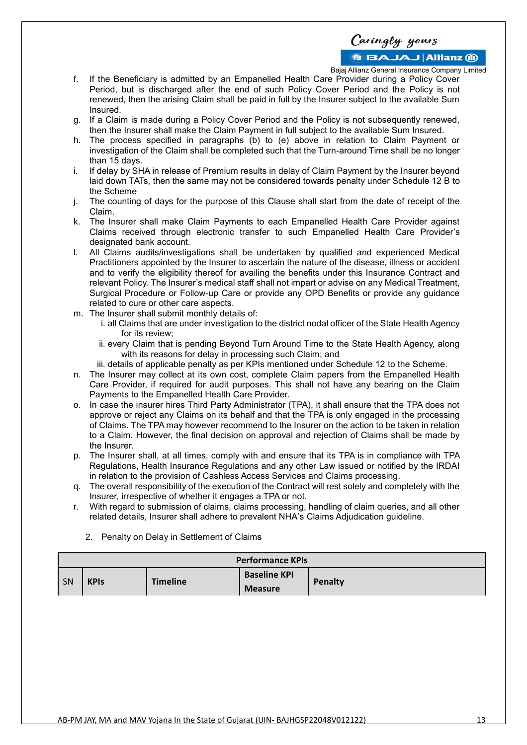Bajaj Allianz General Insurance Company Limited

Caringly yours

- f. If the Beneficiary is admitted by an Empanelled Health Care Provider during a Policy Cover Period, but is discharged after the end of such Policy Cover Period and the Policy is not renewed, then the arising Claim shall be paid in full by the Insurer subject to the available Sum Insured.
- g. If a Claim is made during a Policy Cover Period and the Policy is not subsequently renewed, then the Insurer shall make the Claim Payment in full subject to the available Sum Insured.
- h. The process specified in paragraphs (b) to (e) above in relation to Claim Payment or investigation of the Claim shall be completed such that the Turn-around Time shall be no longer than 15 days.
- i. If delay by SHA in release of Premium results in delay of Claim Payment by the Insurer beyond laid down TATs, then the same may not be considered towards penalty under Schedule 12 B to the Scheme
- j. The counting of days for the purpose of this Clause shall start from the date of receipt of the Claim.
- k. The Insurer shall make Claim Payments to each Empanelled Health Care Provider against Claims received through electronic transfer to such Empanelled Health Care Provider's designated bank account.
- l. All Claims audits/investigations shall be undertaken by qualified and experienced Medical Practitioners appointed by the Insurer to ascertain the nature of the disease, illness or accident and to verify the eligibility thereof for availing the benefits under this Insurance Contract and relevant Policy. The Insurer's medical staff shall not impart or advise on any Medical Treatment, Surgical Procedure or Follow-up Care or provide any OPD Benefits or provide any guidance related to cure or other care aspects.
- m. The Insurer shall submit monthly details of:
	- i. all Claims that are under investigation to the district nodal officer of the State Health Agency for its review;
	- ii. every Claim that is pending Beyond Turn Around Time to the State Health Agency, along with its reasons for delay in processing such Claim; and
	- iii. details of applicable penalty as per KPIs mentioned under Schedule 12 to the Scheme.
- n. The Insurer may collect at its own cost, complete Claim papers from the Empanelled Health Care Provider, if required for audit purposes. This shall not have any bearing on the Claim Payments to the Empanelled Health Care Provider.
- o. In case the insurer hires Third Party Administrator (TPA), it shall ensure that the TPA does not approve or reject any Claims on its behalf and that the TPA is only engaged in the processing of Claims. The TPA may however recommend to the Insurer on the action to be taken in relation to a Claim. However, the final decision on approval and rejection of Claims shall be made by the Insurer.
- p. The Insurer shall, at all times, comply with and ensure that its TPA is in compliance with TPA Regulations, Health Insurance Regulations and any other Law issued or notified by the IRDAI in relation to the provision of Cashless Access Services and Claims processing.
- q. The overall responsibility of the execution of the Contract will rest solely and completely with the Insurer, irrespective of whether it engages a TPA or not.
- r. With regard to submission of claims, claims processing, handling of claim queries, and all other related details, Insurer shall adhere to prevalent NHA's Claims Adjudication guideline.

| <b>Performance KPIs</b> |             |                 |                                       |         |  |  |  |
|-------------------------|-------------|-----------------|---------------------------------------|---------|--|--|--|
| SN                      | <b>KPIS</b> | <b>Timeline</b> | <b>Baseline KPI</b><br><b>Measure</b> | Penalty |  |  |  |

2. Penalty on Delay in Settlement of Claims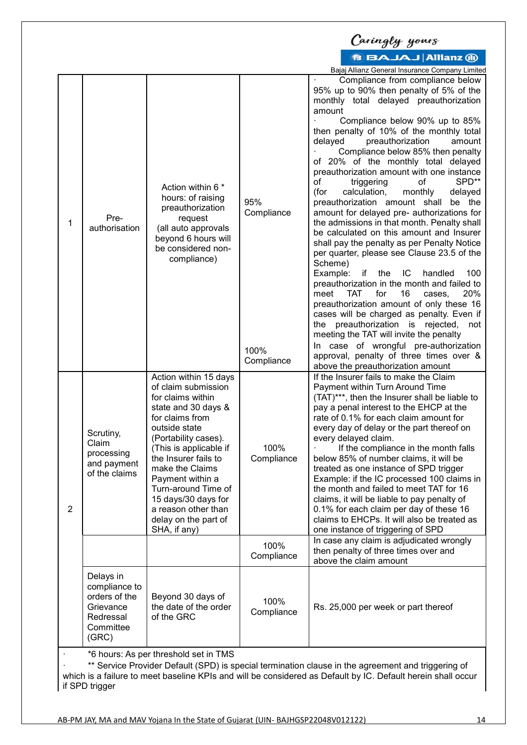|                |                                                                                                                                                                                                                                                                               |                                                                                                                                                                                                                                                                                                                                                            |                                         | Caringly yours                                                                                                                                                                                                                                                                                                                                                                                                                                                                                                                                                                                                                                                                                                                                                                                                                                                                                                                                                                                                                                                                                                                                                                       |  |  |
|----------------|-------------------------------------------------------------------------------------------------------------------------------------------------------------------------------------------------------------------------------------------------------------------------------|------------------------------------------------------------------------------------------------------------------------------------------------------------------------------------------------------------------------------------------------------------------------------------------------------------------------------------------------------------|-----------------------------------------|--------------------------------------------------------------------------------------------------------------------------------------------------------------------------------------------------------------------------------------------------------------------------------------------------------------------------------------------------------------------------------------------------------------------------------------------------------------------------------------------------------------------------------------------------------------------------------------------------------------------------------------------------------------------------------------------------------------------------------------------------------------------------------------------------------------------------------------------------------------------------------------------------------------------------------------------------------------------------------------------------------------------------------------------------------------------------------------------------------------------------------------------------------------------------------------|--|--|
|                |                                                                                                                                                                                                                                                                               |                                                                                                                                                                                                                                                                                                                                                            |                                         | <b>BBAJAJ Allianz @</b>                                                                                                                                                                                                                                                                                                                                                                                                                                                                                                                                                                                                                                                                                                                                                                                                                                                                                                                                                                                                                                                                                                                                                              |  |  |
|                |                                                                                                                                                                                                                                                                               |                                                                                                                                                                                                                                                                                                                                                            |                                         | Bajaj Allianz General Insurance Company Limited                                                                                                                                                                                                                                                                                                                                                                                                                                                                                                                                                                                                                                                                                                                                                                                                                                                                                                                                                                                                                                                                                                                                      |  |  |
| 1              | Pre-<br>authorisation                                                                                                                                                                                                                                                         | Action within 6 *<br>hours: of raising<br>preauthorization<br>request<br>(all auto approvals<br>beyond 6 hours will<br>be considered non-<br>compliance)                                                                                                                                                                                                   | 95%<br>Compliance<br>100%<br>Compliance | Compliance from compliance below<br>95% up to 90% then penalty of 5% of the<br>monthly total delayed preauthorization<br>amount<br>Compliance below 90% up to 85%<br>then penalty of 10% of the monthly total<br>delayed<br>preauthorization<br>amount<br>Compliance below 85% then penalty<br>20% of the monthly total delayed<br>of<br>preauthorization amount with one instance<br>SPD**<br>of<br>triggering<br>of<br>calculation,<br>delayed<br>(for<br>monthly<br>preauthorization amount shall<br>be the<br>amount for delayed pre- authorizations for<br>the admissions in that month. Penalty shall<br>be calculated on this amount and Insurer<br>shall pay the penalty as per Penalty Notice<br>per quarter, please see Clause 23.5 of the<br>Scheme)<br>Example:<br>if the<br>IC<br>handled<br>100<br>preauthorization in the month and failed to<br><b>TAT</b><br>for<br>16<br>20%<br>meet<br>cases.<br>preauthorization amount of only these 16<br>cases will be charged as penalty. Even if<br>the preauthorization is rejected,<br>not<br>meeting the TAT will invite the penalty<br>In case of wrongful pre-authorization<br>approval, penalty of three times over & |  |  |
| $\overline{2}$ | Scrutiny,<br>Claim<br>processing<br>and payment<br>of the claims                                                                                                                                                                                                              | Action within 15 days<br>of claim submission<br>for claims within<br>state and 30 days &<br>for claims from<br>outside state<br>(Portability cases).<br>(This is applicable if<br>the Insurer fails to<br>make the Claims<br>Payment within a<br>Turn-around Time of<br>15 days/30 days for<br>a reason other than<br>delay on the part of<br>SHA, if any) | 100%<br>Compliance<br>100%              | above the preauthorization amount<br>If the Insurer fails to make the Claim<br>Payment within Turn Around Time<br>(TAT)***, then the Insurer shall be liable to<br>pay a penal interest to the EHCP at the<br>rate of 0.1% for each claim amount for<br>every day of delay or the part thereof on<br>every delayed claim.<br>If the compliance in the month falls<br>below 85% of number claims, it will be<br>treated as one instance of SPD trigger<br>Example: if the IC processed 100 claims in<br>the month and failed to meet TAT for 16<br>claims, it will be liable to pay penalty of<br>0.1% for each claim per day of these 16<br>claims to EHCPs. It will also be treated as<br>one instance of triggering of SPD<br>In case any claim is adjudicated wrongly<br>then penalty of three times over and                                                                                                                                                                                                                                                                                                                                                                     |  |  |
|                |                                                                                                                                                                                                                                                                               |                                                                                                                                                                                                                                                                                                                                                            | Compliance                              | above the claim amount                                                                                                                                                                                                                                                                                                                                                                                                                                                                                                                                                                                                                                                                                                                                                                                                                                                                                                                                                                                                                                                                                                                                                               |  |  |
|                | Delays in<br>compliance to<br>orders of the<br>Grievance<br>Redressal<br>Committee<br>(GRC)                                                                                                                                                                                   | Beyond 30 days of<br>the date of the order<br>of the GRC                                                                                                                                                                                                                                                                                                   | 100%<br>Compliance                      | Rs. 25,000 per week or part thereof                                                                                                                                                                                                                                                                                                                                                                                                                                                                                                                                                                                                                                                                                                                                                                                                                                                                                                                                                                                                                                                                                                                                                  |  |  |
|                | *6 hours: As per threshold set in TMS<br>** Service Provider Default (SPD) is special termination clause in the agreement and triggering of<br>which is a failure to meet baseline KPIs and will be considered as Default by IC. Default herein shall occur<br>if SPD trigger |                                                                                                                                                                                                                                                                                                                                                            |                                         |                                                                                                                                                                                                                                                                                                                                                                                                                                                                                                                                                                                                                                                                                                                                                                                                                                                                                                                                                                                                                                                                                                                                                                                      |  |  |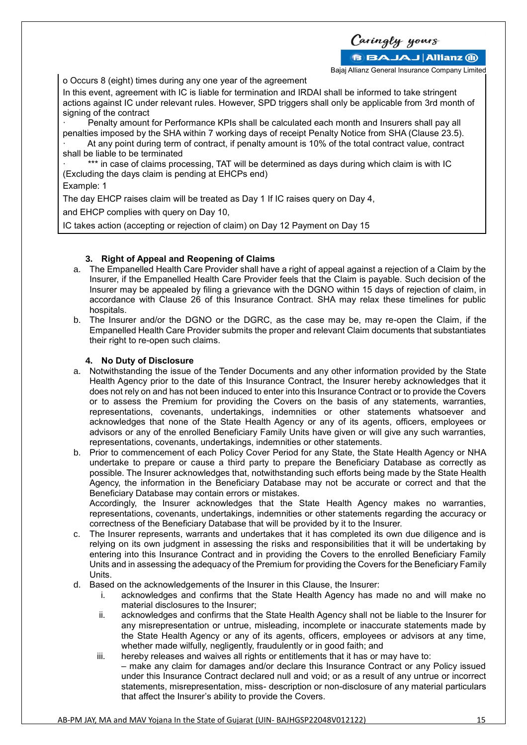Caringly yours **BBAJAJ Allianz (ii)** 

Bajaj Allianz General Insurance Company Limited

o Occurs 8 (eight) times during any one year of the agreement

In this event, agreement with IC is liable for termination and IRDAI shall be informed to take stringent actions against IC under relevant rules. However, SPD triggers shall only be applicable from 3rd month of signing of the contract

Penalty amount for Performance KPIs shall be calculated each month and Insurers shall pay all penalties imposed by the SHA within 7 working days of receipt Penalty Notice from SHA (Clause 23.5). · At any point during term of contract, if penalty amount is 10% of the total contract value, contract

shall be liable to be terminated

\*\*\* in case of claims processing, TAT will be determined as days during which claim is with IC (Excluding the days claim is pending at EHCPs end)

#### Example: 1

The day EHCP raises claim will be treated as Day 1 If IC raises query on Day 4,

and EHCP complies with query on Day 10,

IC takes action (accepting or rejection of claim) on Day 12 Payment on Day 15

# **3. Right of Appeal and Reopening of Claims**

- a. The Empanelled Health Care Provider shall have a right of appeal against a rejection of a Claim by the Insurer, if the Empanelled Health Care Provider feels that the Claim is payable. Such decision of the Insurer may be appealed by filing a grievance with the DGNO within 15 days of rejection of claim, in accordance with Clause 26 of this Insurance Contract. SHA may relax these timelines for public hospitals.
- b. The Insurer and/or the DGNO or the DGRC, as the case may be, may re-open the Claim, if the Empanelled Health Care Provider submits the proper and relevant Claim documents that substantiates their right to re-open such claims.

# **4. No Duty of Disclosure**

- a. Notwithstanding the issue of the Tender Documents and any other information provided by the State Health Agency prior to the date of this Insurance Contract, the Insurer hereby acknowledges that it does not rely on and has not been induced to enter into this Insurance Contract or to provide the Covers or to assess the Premium for providing the Covers on the basis of any statements, warranties, representations, covenants, undertakings, indemnities or other statements whatsoever and acknowledges that none of the State Health Agency or any of its agents, officers, employees or advisors or any of the enrolled Beneficiary Family Units have given or will give any such warranties, representations, covenants, undertakings, indemnities or other statements.
- b. Prior to commencement of each Policy Cover Period for any State, the State Health Agency or NHA undertake to prepare or cause a third party to prepare the Beneficiary Database as correctly as possible. The Insurer acknowledges that, notwithstanding such efforts being made by the State Health Agency, the information in the Beneficiary Database may not be accurate or correct and that the Beneficiary Database may contain errors or mistakes.

Accordingly, the Insurer acknowledges that the State Health Agency makes no warranties, representations, covenants, undertakings, indemnities or other statements regarding the accuracy or correctness of the Beneficiary Database that will be provided by it to the Insurer.

- The Insurer represents, warrants and undertakes that it has completed its own due diligence and is relying on its own judgment in assessing the risks and responsibilities that it will be undertaking by entering into this Insurance Contract and in providing the Covers to the enrolled Beneficiary Family Units and in assessing the adequacy of the Premium for providing the Covers for the Beneficiary Family Units.
- d. Based on the acknowledgements of the Insurer in this Clause, the Insurer:
	- i. acknowledges and confirms that the State Health Agency has made no and will make no material disclosures to the Insurer;
	- ii. acknowledges and confirms that the State Health Agency shall not be liable to the Insurer for any misrepresentation or untrue, misleading, incomplete or inaccurate statements made by the State Health Agency or any of its agents, officers, employees or advisors at any time, whether made wilfully, negligently, fraudulently or in good faith; and
	- iii. hereby releases and waives all rights or entitlements that it has or may have to: – make any claim for damages and/or declare this Insurance Contract or any Policy issued under this Insurance Contract declared null and void; or as a result of any untrue or incorrect statements, misrepresentation, miss- description or non-disclosure of any material particulars that affect the Insurer's ability to provide the Covers.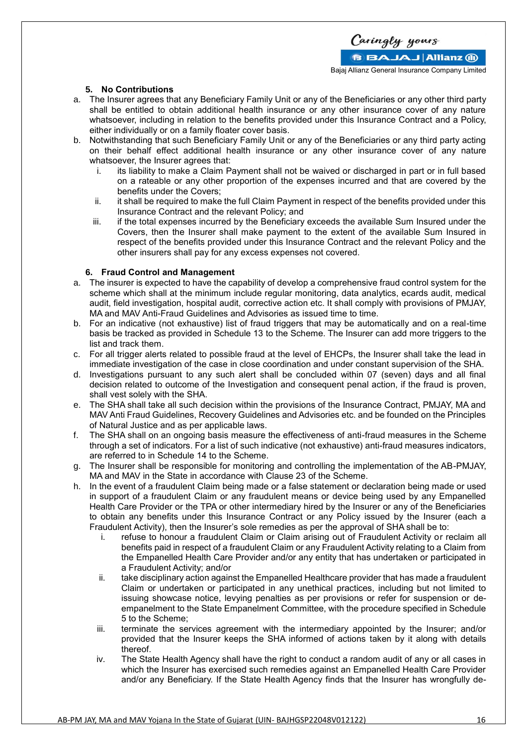

#### **5. No Contributions**

- a. The Insurer agrees that any Beneficiary Family Unit or any of the Beneficiaries or any other third party shall be entitled to obtain additional health insurance or any other insurance cover of any nature whatsoever, including in relation to the benefits provided under this Insurance Contract and a Policy, either individually or on a family floater cover basis.
- b. Notwithstanding that such Beneficiary Family Unit or any of the Beneficiaries or any third party acting on their behalf effect additional health insurance or any other insurance cover of any nature whatsoever, the Insurer agrees that:
	- i. its liability to make a Claim Payment shall not be waived or discharged in part or in full based on a rateable or any other proportion of the expenses incurred and that are covered by the benefits under the Covers;
	- ii. it shall be required to make the full Claim Payment in respect of the benefits provided under this Insurance Contract and the relevant Policy; and
	- iii. if the total expenses incurred by the Beneficiary exceeds the available Sum Insured under the Covers, then the Insurer shall make payment to the extent of the available Sum Insured in respect of the benefits provided under this Insurance Contract and the relevant Policy and the other insurers shall pay for any excess expenses not covered.

#### **6. Fraud Control and Management**

- a. The insurer is expected to have the capability of develop a comprehensive fraud control system for the scheme which shall at the minimum include regular monitoring, data analytics, ecards audit, medical audit, field investigation, hospital audit, corrective action etc. It shall comply with provisions of PMJAY, MA and MAV Anti-Fraud Guidelines and Advisories as issued time to time.
- b. For an indicative (not exhaustive) list of fraud triggers that may be automatically and on a real-time basis be tracked as provided in Schedule 13 to the Scheme. The Insurer can add more triggers to the list and track them.
- c. For all trigger alerts related to possible fraud at the level of EHCPs, the Insurer shall take the lead in immediate investigation of the case in close coordination and under constant supervision of the SHA.
- d. Investigations pursuant to any such alert shall be concluded within 07 (seven) days and all final decision related to outcome of the Investigation and consequent penal action, if the fraud is proven, shall vest solely with the SHA.
- e. The SHA shall take all such decision within the provisions of the Insurance Contract, PMJAY, MA and MAV Anti Fraud Guidelines, Recovery Guidelines and Advisories etc. and be founded on the Principles of Natural Justice and as per applicable laws.
- f. The SHA shall on an ongoing basis measure the effectiveness of anti-fraud measures in the Scheme through a set of indicators. For a list of such indicative (not exhaustive) anti-fraud measures indicators, are referred to in Schedule 14 to the Scheme.
- g. The Insurer shall be responsible for monitoring and controlling the implementation of the AB-PMJAY, MA and MAV in the State in accordance with Clause 23 of the Scheme.
- h. In the event of a fraudulent Claim being made or a false statement or declaration being made or used in support of a fraudulent Claim or any fraudulent means or device being used by any Empanelled Health Care Provider or the TPA or other intermediary hired by the Insurer or any of the Beneficiaries to obtain any benefits under this Insurance Contract or any Policy issued by the Insurer (each a Fraudulent Activity), then the Insurer's sole remedies as per the approval of SHA shall be to:
	- i. refuse to honour a fraudulent Claim or Claim arising out of Fraudulent Activity or reclaim all benefits paid in respect of a fraudulent Claim or any Fraudulent Activity relating to a Claim from the Empanelled Health Care Provider and/or any entity that has undertaken or participated in a Fraudulent Activity; and/or
	- ii. take disciplinary action against the Empanelled Healthcare provider that has made a fraudulent Claim or undertaken or participated in any unethical practices, including but not limited to issuing showcase notice, levying penalties as per provisions or refer for suspension or deempanelment to the State Empanelment Committee, with the procedure specified in Schedule 5 to the Scheme;
	- iii. terminate the services agreement with the intermediary appointed by the Insurer; and/or provided that the Insurer keeps the SHA informed of actions taken by it along with details thereof.
	- iv. The State Health Agency shall have the right to conduct a random audit of any or all cases in which the Insurer has exercised such remedies against an Empanelled Health Care Provider and/or any Beneficiary. If the State Health Agency finds that the Insurer has wrongfully de-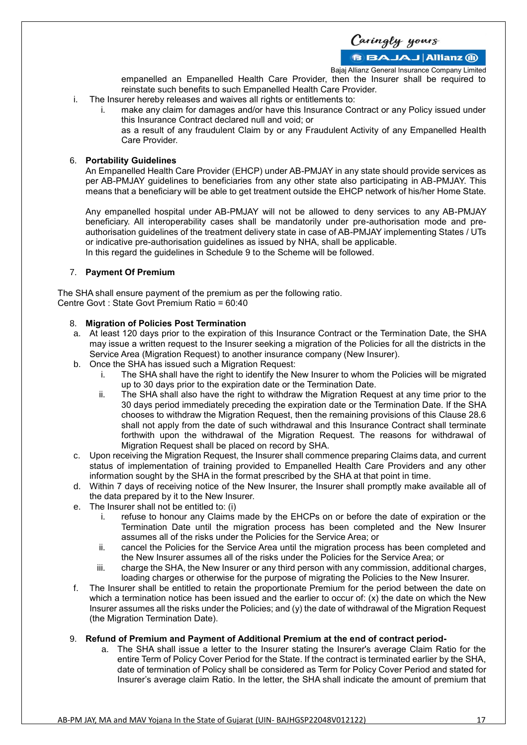Caringly yours

Bajaj Allianz General Insurance Company Limited

empanelled an Empanelled Health Care Provider, then the Insurer shall be required to reinstate such benefits to such Empanelled Health Care Provider.

- i. The Insurer hereby releases and waives all rights or entitlements to:
	- i. make any claim for damages and/or have this Insurance Contract or any Policy issued under this Insurance Contract declared null and void; or

as a result of any fraudulent Claim by or any Fraudulent Activity of any Empanelled Health Care Provider.

#### 6. **Portability Guidelines**

An Empanelled Health Care Provider (EHCP) under AB-PMJAY in any state should provide services as per AB-PMJAY guidelines to beneficiaries from any other state also participating in AB-PMJAY. This means that a beneficiary will be able to get treatment outside the EHCP network of his/her Home State.

Any empanelled hospital under AB-PMJAY will not be allowed to deny services to any AB-PMJAY beneficiary. All interoperability cases shall be mandatorily under pre-authorisation mode and preauthorisation guidelines of the treatment delivery state in case of AB-PMJAY implementing States / UTs or indicative pre-authorisation guidelines as issued by NHA, shall be applicable. In this regard the guidelines in Schedule 9 to the Scheme will be followed.

7. **Payment Of Premium**

The SHA shall ensure payment of the premium as per the following ratio. Centre Govt : State Govt Premium Ratio = 60:40

# 8. **Migration of Policies Post Termination**

- a. At least 120 days prior to the expiration of this Insurance Contract or the Termination Date, the SHA may issue a written request to the Insurer seeking a migration of the Policies for all the districts in the Service Area (Migration Request) to another insurance company (New Insurer).
- b. Once the SHA has issued such a Migration Request:
	- i. The SHA shall have the right to identify the New Insurer to whom the Policies will be migrated up to 30 days prior to the expiration date or the Termination Date.
	- ii. The SHA shall also have the right to withdraw the Migration Request at any time prior to the 30 days period immediately preceding the expiration date or the Termination Date. If the SHA chooses to withdraw the Migration Request, then the remaining provisions of this Clause 28.6 shall not apply from the date of such withdrawal and this Insurance Contract shall terminate forthwith upon the withdrawal of the Migration Request. The reasons for withdrawal of Migration Request shall be placed on record by SHA.
- c. Upon receiving the Migration Request, the Insurer shall commence preparing Claims data, and current status of implementation of training provided to Empanelled Health Care Providers and any other information sought by the SHA in the format prescribed by the SHA at that point in time.
- d. Within 7 days of receiving notice of the New Insurer, the Insurer shall promptly make available all of the data prepared by it to the New Insurer.
- e. The Insurer shall not be entitled to: (i)
	- i. refuse to honour any Claims made by the EHCPs on or before the date of expiration or the Termination Date until the migration process has been completed and the New Insurer assumes all of the risks under the Policies for the Service Area; or
	- ii. cancel the Policies for the Service Area until the migration process has been completed and the New Insurer assumes all of the risks under the Policies for the Service Area; or
	- iii. charge the SHA, the New Insurer or any third person with any commission, additional charges, loading charges or otherwise for the purpose of migrating the Policies to the New Insurer.
- f. The Insurer shall be entitled to retain the proportionate Premium for the period between the date on which a termination notice has been issued and the earlier to occur of: (x) the date on which the New Insurer assumes all the risks under the Policies; and (y) the date of withdrawal of the Migration Request (the Migration Termination Date).

#### 9. **Refund of Premium and Payment of Additional Premium at the end of contract period-**

a. The SHA shall issue a letter to the Insurer stating the Insurer's average Claim Ratio for the entire Term of Policy Cover Period for the State. If the contract is terminated earlier by the SHA, date of termination of Policy shall be considered as Term for Policy Cover Period and stated for Insurer's average claim Ratio. In the letter, the SHA shall indicate the amount of premium that